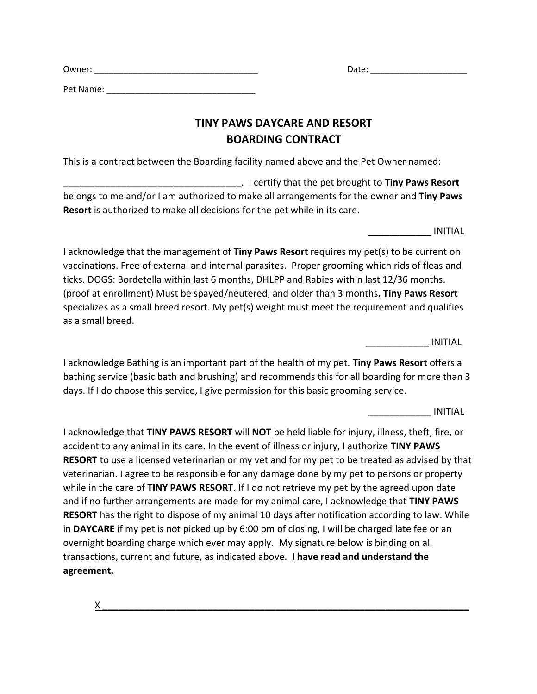Pet Name: \_\_\_\_\_\_\_\_\_\_\_\_\_\_\_\_\_\_\_\_\_\_\_\_\_\_\_\_\_\_\_

## **TINY PAWS DAYCARE AND RESORT BOARDING CONTRACT**

This is a contract between the Boarding facility named above and the Pet Owner named:

\_\_\_\_\_\_\_\_\_\_\_\_\_\_\_\_\_\_\_\_\_\_\_\_\_\_\_\_\_\_\_\_\_\_. I certify that the pet brought to **Tiny Paws Resort** belongs to me and/or I am authorized to make all arrangements for the owner and **Tiny Paws Resort** is authorized to make all decisions for the pet while in its care.

\_\_\_\_\_\_\_\_\_\_\_\_ INITIAL

Date:  $\Box$ 

I acknowledge that the management of **Tiny Paws Resort** requires my pet(s) to be current on vaccinations. Free of external and internal parasites. Proper grooming which rids of fleas and ticks. DOGS: Bordetella within last 6 months, DHLPP and Rabies within last 12/36 months. (proof at enrollment) Must be spayed/neutered, and older than 3 months**. Tiny Paws Resort** specializes as a small breed resort. My pet(s) weight must meet the requirement and qualifies as a small breed.

\_\_\_\_\_\_\_\_\_\_\_\_ INITIAL

I acknowledge Bathing is an important part of the health of my pet. **Tiny Paws Resort** offers a bathing service (basic bath and brushing) and recommends this for all boarding for more than 3 days. If I do choose this service, I give permission for this basic grooming service.

\_\_\_\_\_\_\_\_\_\_\_\_ INITIAL

I acknowledge that **TINY PAWS RESORT** will **NOT** be held liable for injury, illness, theft, fire, or accident to any animal in its care. In the event of illness or injury, I authorize **TINY PAWS RESORT** to use a licensed veterinarian or my vet and for my pet to be treated as advised by that veterinarian. I agree to be responsible for any damage done by my pet to persons or property while in the care of **TINY PAWS RESORT**. If I do not retrieve my pet by the agreed upon date and if no further arrangements are made for my animal care, I acknowledge that **TINY PAWS RESORT** has the right to dispose of my animal 10 days after notification according to law. While in **DAYCARE** if my pet is not picked up by 6:00 pm of closing, I will be charged late fee or an overnight boarding charge which ever may apply. My signature below is binding on all transactions, current and future, as indicated above. **I have read and understand the agreement.** 

 $X \sim$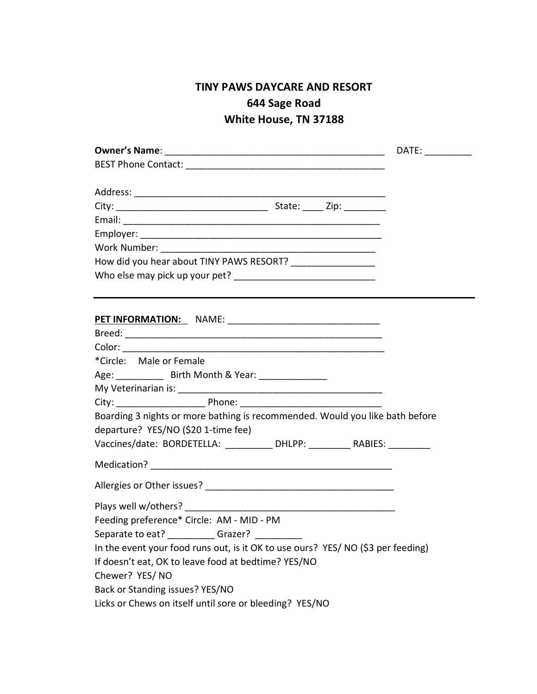## **TINY PAWS DAYCARE AND RESORT 644 Sage Road White House, TN 37188**

| <b>Owner's Name:</b>                                                             |  |
|----------------------------------------------------------------------------------|--|
|                                                                                  |  |
|                                                                                  |  |
|                                                                                  |  |
|                                                                                  |  |
|                                                                                  |  |
| Work Number: __________________________                                          |  |
| How did you hear about TINY PAWS RESORT? ___________________                     |  |
|                                                                                  |  |
|                                                                                  |  |
|                                                                                  |  |
|                                                                                  |  |
| *Circle: Male or Female                                                          |  |
| Age: ______________ Birth Month & Year: _________________                        |  |
|                                                                                  |  |
|                                                                                  |  |
| Boarding 3 nights or more bathing is recommended. Would you like bath before     |  |
| departure? YES/NO (\$20 1-time fee)                                              |  |
| Vaccines/date: BORDETELLA: __________ DHLPP: _________ RABIES: _________         |  |
|                                                                                  |  |
|                                                                                  |  |
|                                                                                  |  |
|                                                                                  |  |
| Feeding preference* Circle: AM - MID - PM                                        |  |
| Separate to eat? __________Grazer?                                               |  |
| In the event your food runs out, is it OK to use ours? YES/ NO (\$3 per feeding) |  |
| If doesn't eat, OK to leave food at bedtime? YES/NO                              |  |
|                                                                                  |  |
|                                                                                  |  |
| Licks or Chews on itself until sore or bleeding? YES/NO                          |  |
| Chewer? YES/NO<br>Back or Standing issues? YES/NO                                |  |